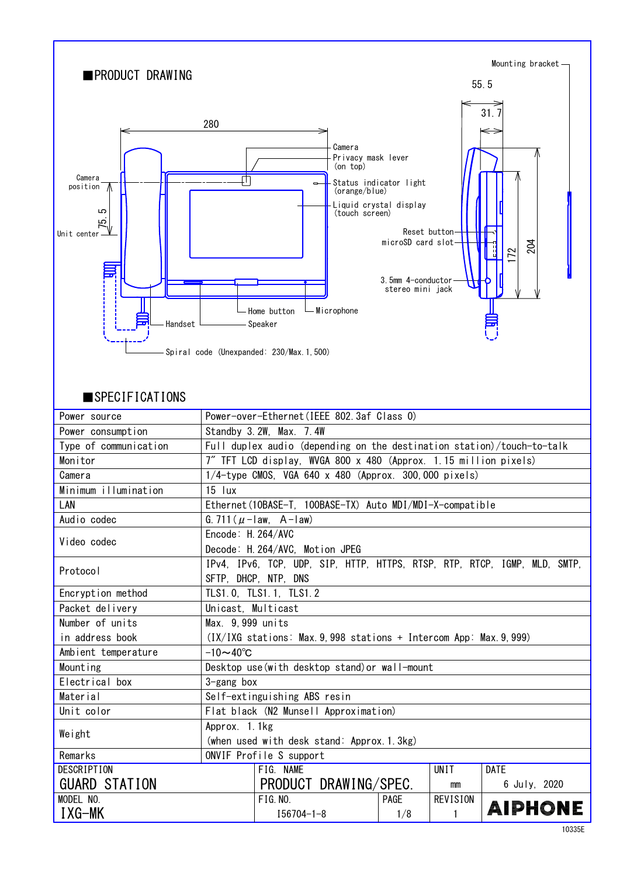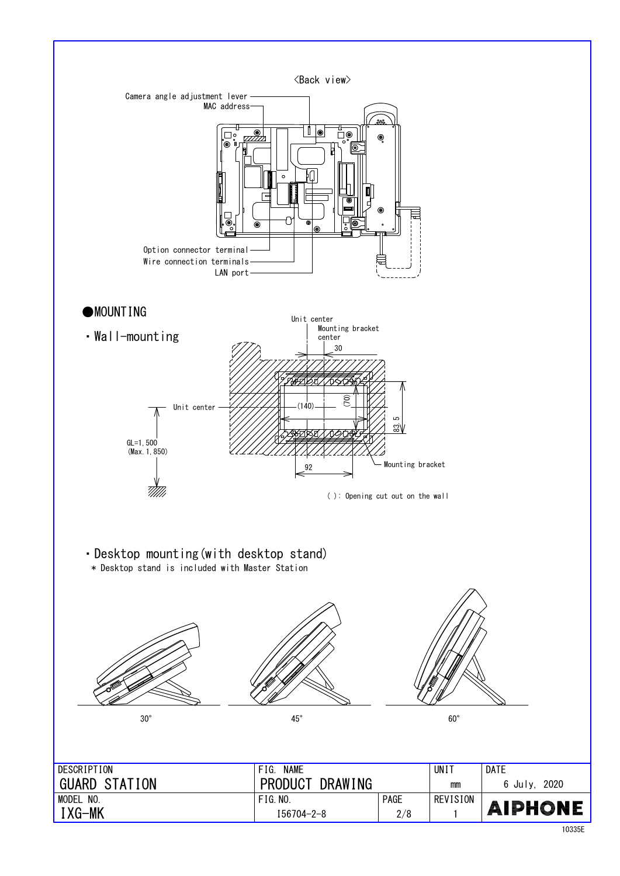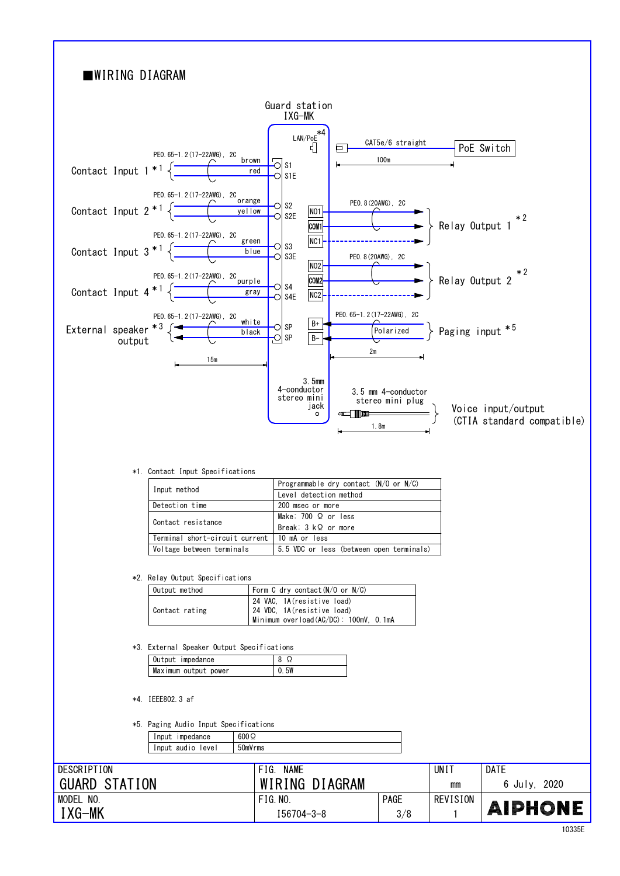# ■WIRING DIAGRAM

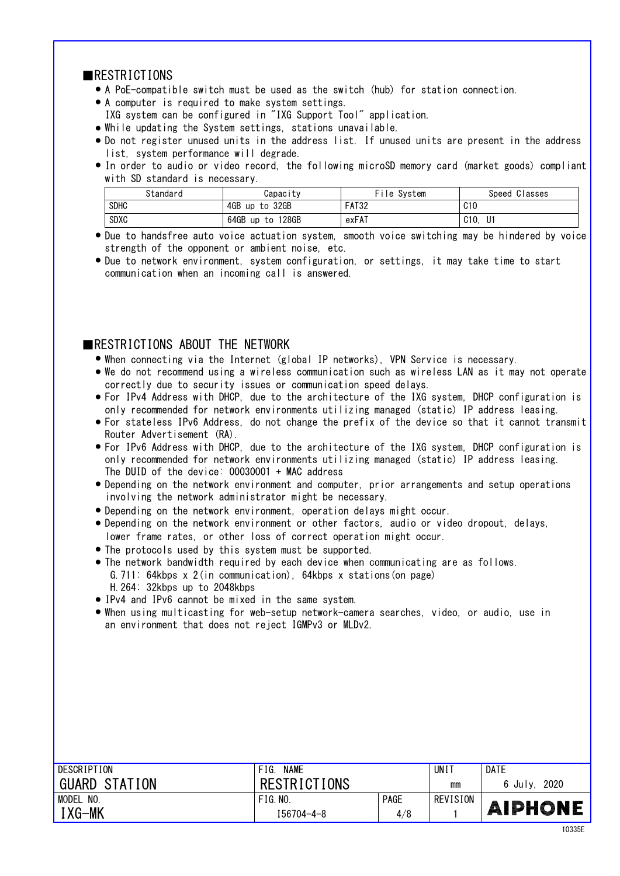### **RESTRICTIONS**

- A PoE-compatible switch must be used as the switch (hub) for station connection. ●
- A computer is required to make system settings. ●
- IXG system can be configured in "IXG Support Tool" application.
- While updating the System settings, stations unavailable.
- Do not register unused units in the address list. If unused units are present in the address list, system performance will degrade.
- In order to audio or video record, the following microSD memory card (market goods) compliant with SD standard is necessary.

| Standard    | Capacitv         | File System  | Speed Classes |
|-------------|------------------|--------------|---------------|
| <b>SDHC</b> | 4GB up to 32GB   | <b>FAT32</b> | C10           |
| <b>SDXC</b> | 64GB up to 128GB | exFAT        | U1<br>C10.    |

- Due to handsfree auto voice actuation system, smooth voice switching may be hindered by voice strength of the opponent or ambient noise, etc.
- Due to network environment, system configuration, or settings, it may take time to start communication when an incoming call is answered.

# **EXECUTE IONS ABOUT THE NETWORK**

- When connecting via the Internet (global IP networks), VPN Service is necessary.
- We do not recommend using a wireless communication such as wireless LAN as it may not operate correctly due to security issues or communication speed delays.
- For IPv4 Address with DHCP, due to the architecture of the IXG system, DHCP configuration is only recommended for network environments utilizing managed (static) IP address leasing.
- For stateless IPv6 Address, do not change the prefix of the device so that it cannot transmit Router Advertisement (RA).
- only recommended for network environments utilizing managed (static) IP address leasing. For IPv6 Address with DHCP, due to the architecture of the IXG system, DHCP configuration is ● The DUID of the device: 00030001 + MAC address
- Depending on the network environment and computer, prior arrangements and setup operations involving the network administrator might be necessary.
- Depending on the network environment, operation delays might occur. ●
- lower frame rates, or other loss of correct operation might occur. • Depending on the network environment or other factors, audio or video dropout, delays,
- The protocols used by this system must be supported. ●
- The network bandwidth required by each device when communicating are as follows. G.711: 64kbps x 2(in communication), 64kbps x stations(on page) H.264: 32kbps up to 2048kbps
- IPv4 and IPv6 cannot be mixed in the same system.
- an environment that does not reject IGMPv3 or MLDv2. ● When using multicasting for web-setup network-camera searches, video, or audio, use in

| DESCRIPTION          | <b>NAME</b><br>FIG. |             | UNI <sup>-</sup> | DATE            |
|----------------------|---------------------|-------------|------------------|-----------------|
| <b>GUARD STATION</b> | <b>RESTRICTIONS</b> |             | mm               | 2020<br>6 July. |
| MODEL NO.            | FIG. N0.            | <b>PAGE</b> | REVISION         |                 |
| I XG-MK              | $I56704 - 4 - 8$    | 4/8         |                  | <b>AIPHONE</b>  |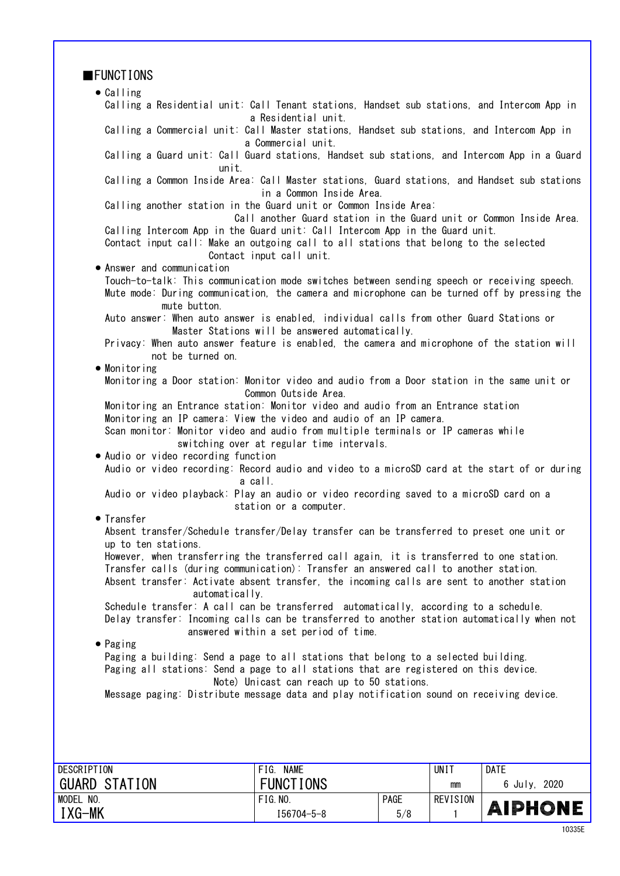| <b>FUNCTIONS</b>                                                                                                                                                      |                                                                                                                  |      |                 |              |  |  |
|-----------------------------------------------------------------------------------------------------------------------------------------------------------------------|------------------------------------------------------------------------------------------------------------------|------|-----------------|--------------|--|--|
| $\bullet$ Calling                                                                                                                                                     |                                                                                                                  |      |                 |              |  |  |
| Calling a Residential unit: Call Tenant stations, Handset sub stations, and Intercom App in                                                                           | a Residential unit.                                                                                              |      |                 |              |  |  |
|                                                                                                                                                                       | Calling a Commercial unit: Call Master stations, Handset sub stations, and Intercom App in<br>a Commercial unit. |      |                 |              |  |  |
| Calling a Guard unit: Call Guard stations, Handset sub stations, and Intercom App in a Guard<br>unit.                                                                 |                                                                                                                  |      |                 |              |  |  |
| Calling a Common Inside Area: Call Master stations, Guard stations, and Handset sub stations                                                                          | in a Common Inside Area.                                                                                         |      |                 |              |  |  |
| Calling another station in the Guard unit or Common Inside Area:                                                                                                      | Call another Guard station in the Guard unit or Common Inside Area.                                              |      |                 |              |  |  |
| Calling Intercom App in the Guard unit: Call Intercom App in the Guard unit.<br>Contact input call: Make an outgoing call to all stations that belong to the selected | Contact input call unit.                                                                                         |      |                 |              |  |  |
| • Answer and communication                                                                                                                                            |                                                                                                                  |      |                 |              |  |  |
| Touch-to-talk: This communication mode switches between sending speech or receiving speech.                                                                           |                                                                                                                  |      |                 |              |  |  |
| Mute mode: During communication, the camera and microphone can be turned off by pressing the<br>mute button.                                                          |                                                                                                                  |      |                 |              |  |  |
| Auto answer: When auto answer is enabled, individual calls from other Guard Stations or                                                                               | Master Stations will be answered automatically.                                                                  |      |                 |              |  |  |
| Privacy: When auto answer feature is enabled, the camera and microphone of the station will<br>not be turned on.                                                      |                                                                                                                  |      |                 |              |  |  |
| $\bullet$ Monitoring                                                                                                                                                  |                                                                                                                  |      |                 |              |  |  |
| Monitoring a Door station: Monitor video and audio from a Door station in the same unit or                                                                            | Common Outside Area.                                                                                             |      |                 |              |  |  |
| Monitoring an Entrance station: Monitor video and audio from an Entrance station                                                                                      |                                                                                                                  |      |                 |              |  |  |
| Monitoring an IP camera: View the video and audio of an IP camera.                                                                                                    |                                                                                                                  |      |                 |              |  |  |
| Scan monitor: Monitor video and audio from multiple terminals or IP cameras while                                                                                     | switching over at regular time intervals.                                                                        |      |                 |              |  |  |
| . Audio or video recording function<br>Audio or video recording: Record audio and video to a microSD card at the start of or during                                   | a call.                                                                                                          |      |                 |              |  |  |
| Audio or video playback: Play an audio or video recording saved to a microSD card on a                                                                                | station or a computer.                                                                                           |      |                 |              |  |  |
| • Transfer                                                                                                                                                            |                                                                                                                  |      |                 |              |  |  |
| Absent transfer/Schedule transfer/Delay transfer can be transferred to preset one unit or<br>up to ten stations.                                                      |                                                                                                                  |      |                 |              |  |  |
| However, when transferring the transferred call again, it is transferred to one station.                                                                              |                                                                                                                  |      |                 |              |  |  |
| Transfer calls (during communication): Transfer an answered call to another station.                                                                                  |                                                                                                                  |      |                 |              |  |  |
| Absent transfer: Activate absent transfer, the incoming calls are sent to another station                                                                             |                                                                                                                  |      |                 |              |  |  |
|                                                                                                                                                                       | automatically.<br>Schedule transfer: A call can be transferred automatically, according to a schedule.           |      |                 |              |  |  |
| Delay transfer: Incoming calls can be transferred to another station automatically when not                                                                           |                                                                                                                  |      |                 |              |  |  |
| answered within a set period of time.                                                                                                                                 |                                                                                                                  |      |                 |              |  |  |
| $\bullet$ Paging                                                                                                                                                      |                                                                                                                  |      |                 |              |  |  |
| Paging a building: Send a page to all stations that belong to a selected building.                                                                                    |                                                                                                                  |      |                 |              |  |  |
| Paging all stations: Send a page to all stations that are registered on this device.                                                                                  |                                                                                                                  |      |                 |              |  |  |
| Note) Unicast can reach up to 50 stations.<br>Message paging: Distribute message data and play notification sound on receiving device.                                |                                                                                                                  |      |                 |              |  |  |
|                                                                                                                                                                       |                                                                                                                  |      |                 |              |  |  |
|                                                                                                                                                                       |                                                                                                                  |      |                 |              |  |  |
|                                                                                                                                                                       |                                                                                                                  |      |                 |              |  |  |
|                                                                                                                                                                       |                                                                                                                  |      |                 |              |  |  |
| <b>DESCRIPTION</b>                                                                                                                                                    | FIG. NAME                                                                                                        |      | <b>UNIT</b>     | <b>DATE</b>  |  |  |
| <b>GUARD STATION</b>                                                                                                                                                  | <b>FUNCTIONS</b>                                                                                                 |      | mm              | 6 July, 2020 |  |  |
| MODEL NO.                                                                                                                                                             | <b>FIG. NO.</b>                                                                                                  | PAGE | <b>REVISION</b> | AIPHONE      |  |  |
| IXG-MK                                                                                                                                                                | $I56704 - 5 - 8$                                                                                                 | 5/8  | $\mathbf{1}$    |              |  |  |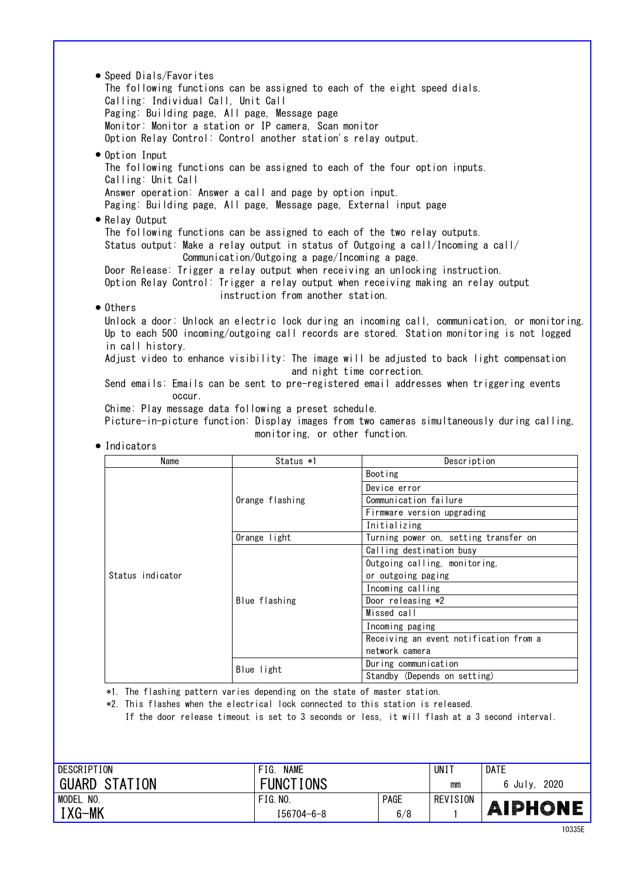● Others Unlock a door: Unlock an electric lock during an incoming call, communication, or monitoring. Up to each 500 incoming/outgoing call records are stored. Station monitoring is not logged in call history. Adjust video to enhance visibility: The image will be adjusted to back light compensation and night time correction. Send emails: Emails can be sent to pre-registered email addresses when triggering events Chime: Play message data following a preset schedule. occur. ● Relay Output The following functions can be assigned to each of the two relay outputs. Status output: Make a relay output in status of Outgoing a call/Incoming a call/ Communication/Outgoing a page/Incoming a page. Door Release: Trigger a relay output when receiving an unlocking instruction. Option Relay Control: Trigger a relay output when receiving making an relay output instruction from another station. Answer operation: Answer a call and page by option input. Paging: Building page, All page, Message page, External input page ● Option Input The following functions can be assigned to each of the four option inputs. Calling: Unit Call ● Speed Dials/Favorites The following functions can be assigned to each of the eight speed dials. Calling: Individual Call, Unit Call Paging: Building page, All page, Message page Monitor: Monitor a station or IP camera, Scan monitor Option Relay Control: Control another station's relay output.

Picture-in-picture function: Display images from two cameras simultaneously during calling, monitoring, or other function.

| Name             | Status *1       | Description                            |  |
|------------------|-----------------|----------------------------------------|--|
|                  |                 | Booting                                |  |
|                  |                 | Device error                           |  |
|                  | Orange flashing | Communication failure                  |  |
|                  |                 | Firmware version upgrading             |  |
|                  |                 | Initializing                           |  |
|                  | Orange light    | Turning power on, setting transfer on  |  |
|                  | Blue flashing   | Calling destination busy               |  |
|                  |                 | Outgoing calling, monitoring,          |  |
| Status indicator |                 | or outgoing paging                     |  |
|                  |                 | Incoming calling                       |  |
|                  |                 | Door releasing *2                      |  |
|                  |                 | Missed call                            |  |
|                  |                 | Incoming paging                        |  |
|                  |                 | Receiving an event notification from a |  |
|                  |                 | network camera                         |  |
|                  | Blue light      | During communication                   |  |
|                  |                 | Standby (Depends on setting)           |  |

● Indicators

\*1. The flashing pattern varies depending on the state of master station.

\*2. This flashes when the electrical lock connected to this station is released.

If the door release timeout is set to 3 seconds or less, it will flash at a 3 second interval.

| DESCRIPTION          | <b>NAME</b><br>FIG. |      | UNI 1    | <b>DATE</b>    |
|----------------------|---------------------|------|----------|----------------|
| <b>GUARD STATION</b> | <b>FUNCTIONS</b>    |      | mm       | 6 July, 2020   |
| MODEL NO.            | FIG. N0.            | PAGE | REVISION |                |
| IXG-MK               | $I56704 - 6 - 8$    | 6/8  |          | <b>AIPHONE</b> |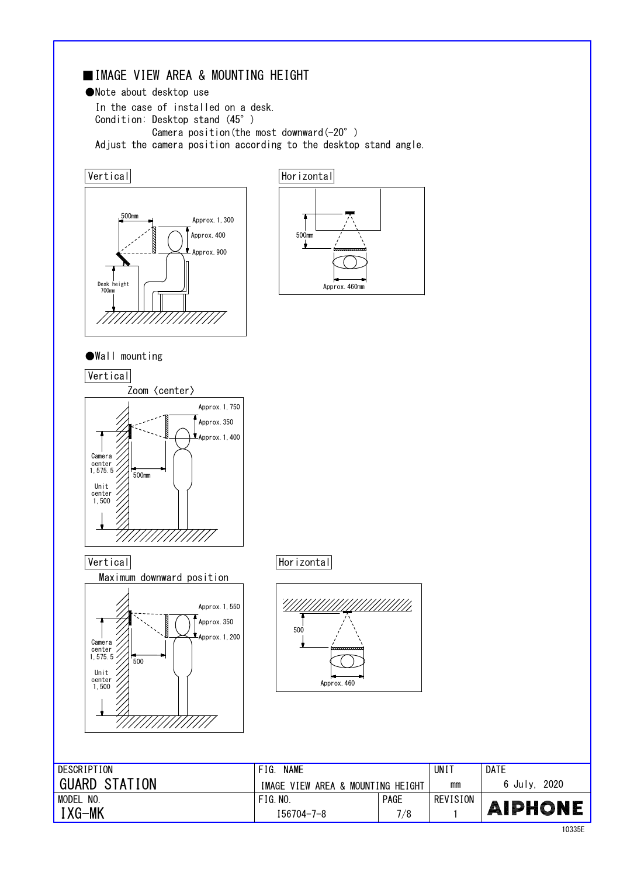# ■IMAGE VIEW AREA & MOUNTING HEIGHT

●Note about desktop use

In the case of installed on a desk. Condition: Desktop stand (45°) Camera position(the most downward(-20°) Adjust the camera position according to the desktop stand angle.





●Wall mounting

**Vertical** 



Maximum downward position



Vertical Horizontal



| DESCRIPTION          | <b>NAME</b><br>FIG.               |             | UNI 1    | <b>DATE</b>     |
|----------------------|-----------------------------------|-------------|----------|-----------------|
| <b>GUARD STATION</b> | IMAGE VIEW AREA & MOUNTING HEIGHT |             | mm       | 2020<br>6 July. |
| NO.<br>MODEL         | FIG. NO.                          | <b>PAGE</b> | REVISION |                 |
| IXG-MK               | 156704-7-8                        | 7/8         |          | <b>AIPHONE</b>  |